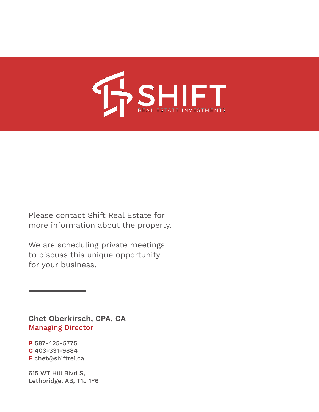

Please contact Shift Real Estate for more information about the property.

We are scheduling private meetings to discuss this unique opportunity for your business.

Chet Oberkirsch, CPA, CA Managing Director

P 587-425-5775 C 403-331-9884 E chet@shiftrei.ca

615 WT Hill Blvd S, Lethbridge, AB, T1J 1Y6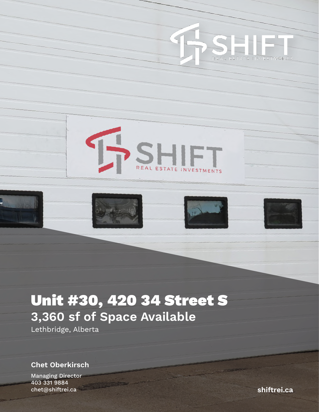









# Unit #30, 420 34 Street S 3,360 sf of Space Available

Lethbridge, Alberta

Chet Oberkirsch

Managing Director 403 331 9884 chet@shiftrei.ca shiftrei.ca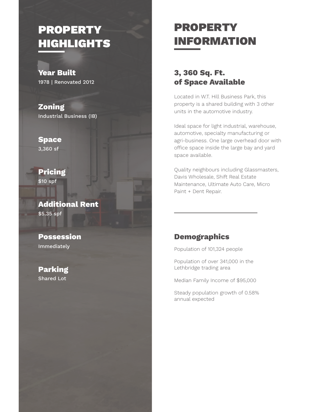## **PROPERTY** HIGHLIGHTS

Year Built 1978 | Renovated 2012

Zoning Industrial Business (IB)

Space 3,360 sf

Pricing \$10 spf

Additional Rent \$5.35 spf

Possession Immediately

Parking Shared Lot

## PROPERTY INFORMATION

#### 3, 360 Sq. Ft. of Space Available

Located in W.T. Hill Business Park, this property is a shared building with 3 other units in the automotive industry.

Ideal space for light industrial, warehouse, automotive, specialty manufacturing or agri-business. One large overhead door with office space inside the large bay and yard space available.

Quality neighbours including Glassmasters, Davis Wholesale, Shift Real Estate Maintenance, Ultimate Auto Care, Micro Paint + Dent Repair.

#### Demographics

Population of 101,324 people

Population of over 341,000 in the Lethbridge trading area

Median Family Income of \$95,000

Steady population growth of 0.58% annual expected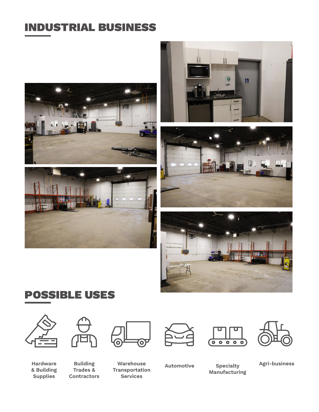## INDUSTRIAL BUSINESS











## POSSIBLE USES



& Building **Supplies** 



Building Trades & **Contractors** 



Warehouse Transportation Services









Manufacturing

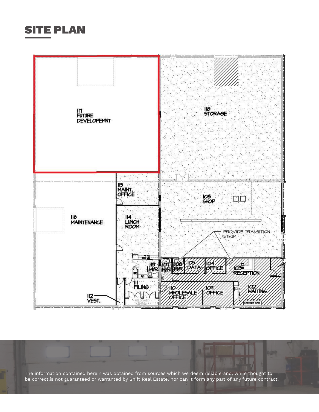### SITE PLAN



The information contained herein was obtained from sources which we deem reliable and, while thought to be correct,is not guaranteed or warranted by Shift Real Estate. nor can it form any part of any future contract.